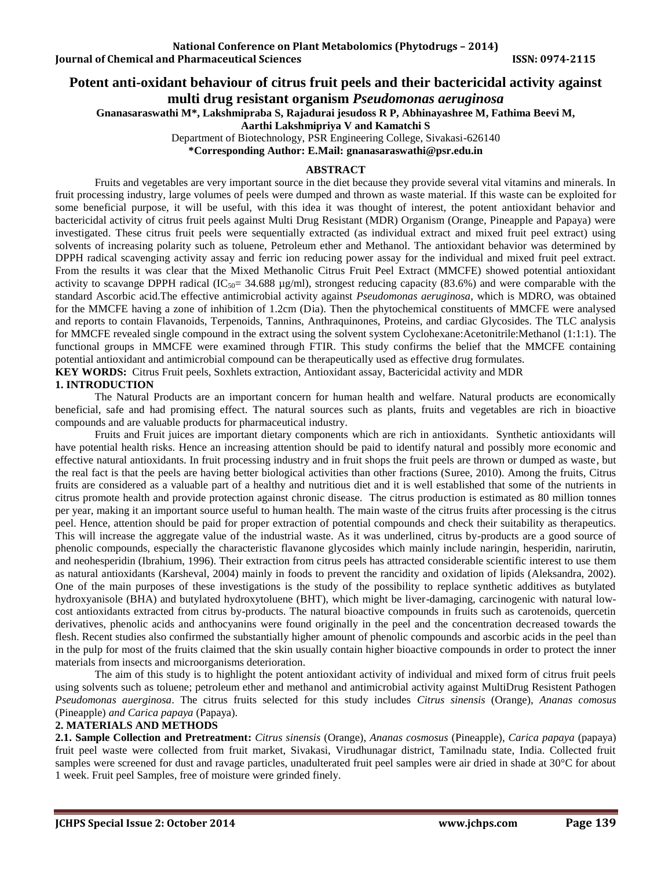# **Potent anti-oxidant behaviour of citrus fruit peels and their bactericidal activity against**

**multi drug resistant organism** *Pseudomonas aeruginosa*

**Gnanasaraswathi M\*, Lakshmipraba S, Rajadurai jesudoss R P, Abhinayashree M, Fathima Beevi M,**

**Aarthi Lakshmipriya V and Kamatchi S**

Department of Biotechnology, PSR Engineering College, Sivakasi-626140

**\*Corresponding Author: E.Mail: [gnanasaraswathi@psr.edu.in](mailto:gnanasaraswathi@psr.edu.in)**

# **ABSTRACT**

Fruits and vegetables are very important source in the diet because they provide several vital vitamins and minerals. In fruit processing industry, large volumes of peels were dumped and thrown as waste material. If this waste can be exploited for some beneficial purpose, it will be useful, with this idea it was thought of interest, the potent antioxidant behavior and bactericidal activity of citrus fruit peels against Multi Drug Resistant (MDR) Organism (Orange, Pineapple and Papaya) were investigated. These citrus fruit peels were sequentially extracted (as individual extract and mixed fruit peel extract) using solvents of increasing polarity such as toluene, Petroleum ether and Methanol. The antioxidant behavior was determined by DPPH radical scavenging activity assay and ferric ion reducing power assay for the individual and mixed fruit peel extract. From the results it was clear that the Mixed Methanolic Citrus Fruit Peel Extract (MMCFE) showed potential antioxidant activity to scavange DPPH radical (IC<sub>50</sub>= 34.688  $\mu$ g/ml), strongest reducing capacity (83.6%) and were comparable with the standard Ascorbic acid.The effective antimicrobial activity against *Pseudomonas aeruginosa*, which is MDRO, was obtained for the MMCFE having a zone of inhibition of 1.2cm (Dia). Then the phytochemical constituents of MMCFE were analysed and reports to contain Flavanoids, Terpenoids, Tannins, Anthraquinones, Proteins, and cardiac Glycosides. The TLC analysis for MMCFE revealed single compound in the extract using the solvent system Cyclohexane:Acetonitrile:Methanol (1:1:1). The functional groups in MMCFE were examined through FTIR. This study confirms the belief that the MMCFE containing potential antioxidant and antimicrobial compound can be therapeutically used as effective drug formulates. **KEY WORDS:** Citrus Fruit peels, Soxhlets extraction, Antioxidant assay, Bactericidal activity and MDR

## **1. INTRODUCTION**

The Natural Products are an important concern for human health and welfare. Natural products are economically beneficial, safe and had promising effect. The natural sources such as plants, fruits and vegetables are rich in bioactive compounds and are valuable products for pharmaceutical industry.

Fruits and Fruit juices are important dietary components which are rich in antioxidants. Synthetic antioxidants will have potential health risks. Hence an increasing attention should be paid to identify natural and possibly more economic and effective natural antioxidants. In fruit processing industry and in fruit shops the fruit peels are thrown or dumped as waste, but the real fact is that the peels are having better biological activities than other fractions (Suree, 2010). Among the fruits, Citrus fruits are considered as a valuable part of a healthy and nutritious diet and it is well established that some of the nutrients in citrus promote health and provide protection against chronic disease. The citrus production is estimated as 80 million tonnes per year, making it an important source useful to human health. The main waste of the citrus fruits after processing is the citrus peel. Hence, attention should be paid for proper extraction of potential compounds and check their suitability as therapeutics. This will increase the aggregate value of the industrial waste. As it was underlined, citrus by-products are a good source of phenolic compounds, especially the characteristic flavanone glycosides which mainly include naringin, hesperidin, narirutin, and neohesperidin (Ibrahium, 1996). Their extraction from citrus peels has attracted considerable scientific interest to use them as natural antioxidants (Karsheval, 2004) mainly in foods to prevent the rancidity and oxidation of lipids (Aleksandra, 2002). One of the main purposes of these investigations is the study of the possibility to replace synthetic additives as butylated hydroxyanisole (BHA) and butylated hydroxytoluene (BHT), which might be liver-damaging, carcinogenic with natural lowcost antioxidants extracted from citrus by-products. The natural bioactive compounds in fruits such as carotenoids, quercetin derivatives, phenolic acids and anthocyanins were found originally in the peel and the concentration decreased towards the flesh. Recent studies also confirmed the substantially higher amount of phenolic compounds and ascorbic acids in the peel than in the pulp for most of the fruits claimed that the skin usually contain higher bioactive compounds in order to protect the inner materials from insects and microorganisms deterioration.

The aim of this study is to highlight the potent antioxidant activity of individual and mixed form of citrus fruit peels using solvents such as toluene; petroleum ether and methanol and antimicrobial activity against MultiDrug Resistent Pathogen *Pseudomonas auerginosa*. The citrus fruits selected for this study includes *Citrus sinensis* (Orange), *Ananas comosus* (Pineapple) *and Carica papaya* (Papaya).

# **2. MATERIALS AND METHODS**

**2.1. Sample Collection and Pretreatment:** *Citrus sinensis* (Orange), *Ananas cosmosus* (Pineapple), *Carica papaya* (papaya) fruit peel waste were collected from fruit market, Sivakasi, Virudhunagar district, Tamilnadu state, India. Collected fruit samples were screened for dust and ravage particles, unadulterated fruit peel samples were air dried in shade at 30°C for about 1 week. Fruit peel Samples, free of moisture were grinded finely.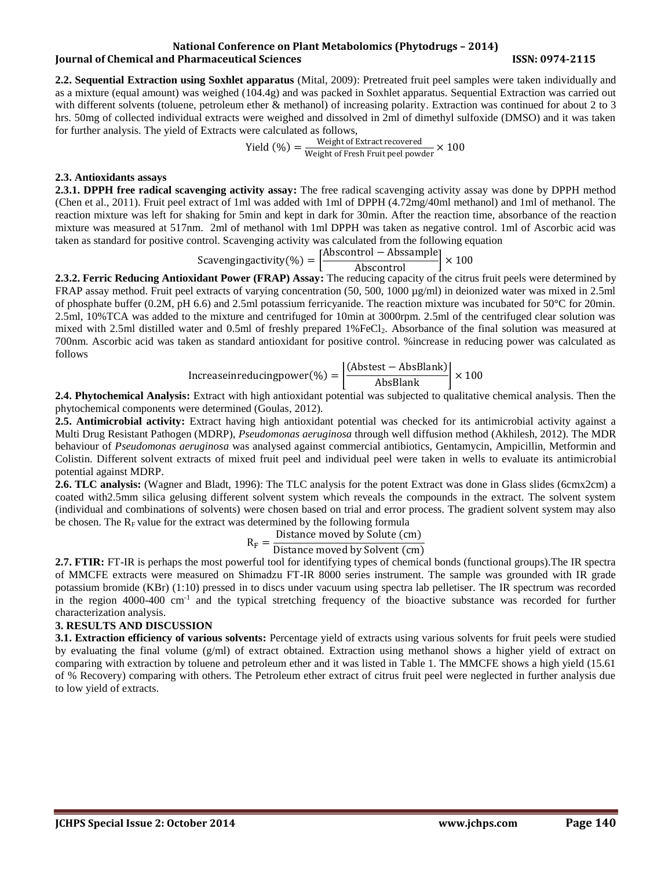#### **National Conference on Plant Metabolomics (Phytodrugs – 2014) Iournal of Chemical and Pharmaceutical Sciences ISSN: 0974-2115**

**2.2. Sequential Extraction using Soxhlet apparatus** (Mital, 2009): Pretreated fruit peel samples were taken individually and as a mixture (equal amount) was weighed (104.4g) and was packed in Soxhlet apparatus. Sequential Extraction was carried out with different solvents (toluene, petroleum ether & methanol) of increasing polarity. Extraction was continued for about 2 to 3 hrs. 50mg of collected individual extracts were weighed and dissolved in 2ml of dimethyl sulfoxide (DMSO) and it was taken for further analysis. The yield of Extracts were calculated as follows,

$$
Yield (%) = \frac{Weight of Extract recovered}{Weight of Fresh Fruit peel powder} \times 100
$$

### **2.3. Antioxidants assays**

**2.3.1. DPPH free radical scavenging activity assay:** The free radical scavenging activity assay was done by DPPH method (Chen et al., 2011). Fruit peel extract of 1ml was added with 1ml of DPPH (4.72mg/40ml methanol) and 1ml of methanol. The reaction mixture was left for shaking for 5min and kept in dark for 30min. After the reaction time, absorbance of the reaction mixture was measured at 517nm. 2ml of methanol with 1ml DPPH was taken as negative control. 1ml of Ascorbic acid was taken as standard for positive control. Scavenging activity was calculated from the following equation

 $Scavengingactivity(\%) = \left[\frac{\text{Abscontrol} - \text{Abssample}}{\text{Abscontrol}}\right] \times 100$ 

**2.3.2. Ferric Reducing Antioxidant Power (FRAP) Assay:** The reducing capacity of the citrus fruit peels were determined by FRAP assay method. Fruit peel extracts of varying concentration (50, 500, 1000 µg/ml) in deionized water was mixed in 2.5ml of phosphate buffer (0.2M, pH 6.6) and 2.5ml potassium ferricyanide. The reaction mixture was incubated for  $50^{\circ}$ C for 20min. 2.5ml, 10%TCA was added to the mixture and centrifuged for 10min at 3000rpm. 2.5ml of the centrifuged clear solution was mixed with 2.5ml distilled water and 0.5ml of freshly prepared 1%FeCl<sub>2</sub>. Absorbance of the final solution was measured at 700nm. Ascorbic acid was taken as standard antioxidant for positive control. %increase in reducing power was calculated as follows

$$
Increase in reducing power (\%) = \left| \frac{(Abstract - AbsBlank)}{AbsBlank} \right| \times 100
$$

**2.4. Phytochemical Analysis:** Extract with high antioxidant potential was subjected to qualitative chemical analysis. Then the phytochemical components were determined (Goulas, 2012).

**2.5. Antimicrobial activity:** Extract having high antioxidant potential was checked for its antimicrobial activity against a Multi Drug Resistant Pathogen (MDRP), *Pseudomonas aeruginosa* through well diffusion method (Akhilesh, 2012). The MDR behaviour of *Pseudomonas aeruginosa* was analysed against commercial antibiotics, Gentamycin, Ampicillin, Metformin and Colistin. Different solvent extracts of mixed fruit peel and individual peel were taken in wells to evaluate its antimicrobial potential against MDRP.

**2.6. TLC analysis:** (Wagner and Bladt, 1996): The TLC analysis for the potent Extract was done in Glass slides (6cmx2cm) a coated with2.5mm silica gelusing different solvent system which reveals the compounds in the extract. The solvent system (individual and combinations of solvents) were chosen based on trial and error process. The gradient solvent system may also be chosen. The  $R_F$  value for the extract was determined by the following formula

$$
R_F = \frac{\text{Distance moved by Solute (cm)}}{\text{Distance moved by Solvont (cm)}}
$$

Distance moved by Solvent (cm)

**2.7. FTIR:** FT-IR is perhaps the most powerful tool for identifying types of chemical bonds (functional groups).The IR spectra of MMCFE extracts were measured on Shimadzu FT-IR 8000 series instrument. The sample was grounded with IR grade potassium bromide (KBr) (1:10) pressed in to discs under vacuum using spectra lab pelletiser. The IR spectrum was recorded in the region 4000-400 cm<sup>-1</sup> and the typical stretching frequency of the bioactive substance was recorded for further characterization analysis.

#### **3. RESULTS AND DISCUSSION**

**3.1. Extraction efficiency of various solvents:** Percentage yield of extracts using various solvents for fruit peels were studied by evaluating the final volume (g/ml) of extract obtained. Extraction using methanol shows a higher yield of extract on comparing with extraction by toluene and petroleum ether and it was listed in Table 1. The MMCFE shows a high yield (15.61 of % Recovery) comparing with others. The Petroleum ether extract of citrus fruit peel were neglected in further analysis due to low yield of extracts.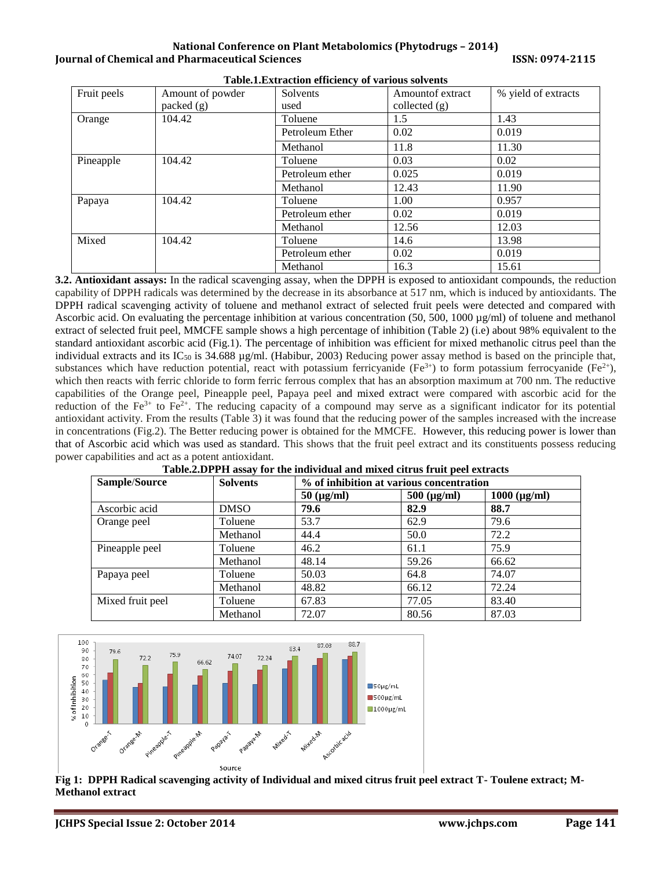**National Conference on Plant Metabolomics (Phytodrugs – 2014) Iournal of Chemical and Pharmaceutical Sciences ISSN: 0974-2115** 

| Fruit peels      | Amount of powder | Solvents        | Amount of extract | % yield of extracts |
|------------------|------------------|-----------------|-------------------|---------------------|
|                  | packet(g)        | used            | collected $(g)$   |                     |
| Orange           | 104.42           | Toluene         | 1.5               | 1.43                |
|                  |                  | Petroleum Ether | 0.02              | 0.019               |
|                  |                  | Methanol        | 11.8              | 11.30               |
| Pineapple        | 104.42           | Toluene         | 0.03              | 0.02                |
|                  |                  | Petroleum ether | 0.025             | 0.019               |
|                  |                  | Methanol        | 12.43             | 11.90               |
| 104.42<br>Papaya |                  | Toluene         | 1.00              | 0.957               |
|                  |                  | Petroleum ether | 0.02              | 0.019               |
|                  |                  | Methanol        | 12.56             | 12.03               |
| Mixed            | 104.42           | Toluene         | 14.6              | 13.98               |
|                  |                  | Petroleum ether | 0.02              | 0.019               |
|                  |                  | Methanol        | 16.3              | 15.61               |

**Table.1.Extraction efficiency of various solvents**

**3.2. Antioxidant assays:** In the radical scavenging assay, when the DPPH is exposed to antioxidant compounds, the reduction capability of DPPH radicals was determined by the decrease in its absorbance at 517 nm, which is induced by antioxidants. The DPPH radical scavenging activity of toluene and methanol extract of selected fruit peels were detected and compared with Ascorbic acid. On evaluating the percentage inhibition at various concentration (50, 500, 1000 µg/ml) of toluene and methanol extract of selected fruit peel, MMCFE sample shows a high percentage of inhibition (Table 2) (i.e) about 98% equivalent to the standard antioxidant ascorbic acid (Fig.1). The percentage of inhibition was efficient for mixed methanolic citrus peel than the individual extracts and its  $IC_{50}$  is 34.688  $\mu$ g/ml. (Habibur, 2003) Reducing power assay method is based on the principle that, substances which have reduction potential, react with potassium ferricyanide ( $Fe^{3+}$ ) to form potassium ferrocyanide ( $Fe^{2+}$ ), which then reacts with ferric chloride to form ferric ferrous complex that has an absorption maximum at 700 nm. The reductive capabilities of the Orange peel, Pineapple peel, Papaya peel and mixed extract were compared with ascorbic acid for the reduction of the Fe<sup>3+</sup> to Fe<sup>2+</sup>. The reducing capacity of a compound may serve as a significant indicator for its potential antioxidant activity. From the results (Table 3) it was found that the reducing power of the samples increased with the increase in concentrations (Fig.2). The Better reducing power is obtained for the MMCFE. However, this reducing power is lower than that of Ascorbic acid which was used as standard. This shows that the fruit peel extract and its constituents possess reducing power capabilities and act as a potent antioxidant.

| Sample/Source    | <b>Solvents</b> | % of inhibition at various concentration |                     |                      |
|------------------|-----------------|------------------------------------------|---------------------|----------------------|
|                  |                 | $50 \ (\mu g/ml)$                        | $500 \, (\mu g/ml)$ | $1000 \, (\mu g/ml)$ |
| Ascorbic acid    | <b>DMSO</b>     | 79.6                                     | 82.9                | 88.7                 |
| Orange peel      | Toluene         | 53.7                                     | 62.9                | 79.6                 |
|                  | Methanol        | 44.4                                     | 50.0                | 72.2                 |
| Pineapple peel   | Toluene         | 46.2                                     | 61.1                | 75.9                 |
|                  | Methanol        | 48.14                                    | 59.26               | 66.62                |
| Papaya peel      | Toluene         | 50.03                                    | 64.8                | 74.07                |
|                  | Methanol        | 48.82                                    | 66.12               | 72.24                |
| Mixed fruit peel | Toluene         | 67.83                                    | 77.05               | 83.40                |
|                  | Methanol        | 72.07                                    | 80.56               | 87.03                |



**Fig 1: DPPH Radical scavenging activity of Individual and mixed citrus fruit peel extract T- Toulene extract; M-Methanol extract**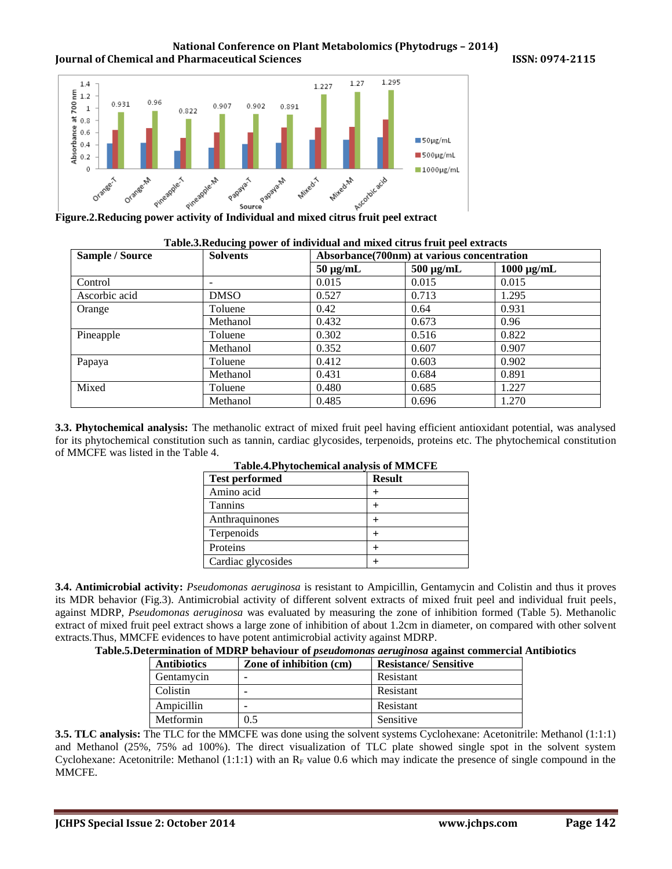#### **National Conference on Plant Metabolomics (Phytodrugs – 2014) Journal of Chemical and Pharmaceutical Sciences 19974-2015 ISSN: 0974-2115**



| Table.S.Reducing power of individual and infixed citi us if the peer extracts |                 |                                             |                |                 |
|-------------------------------------------------------------------------------|-----------------|---------------------------------------------|----------------|-----------------|
| <b>Sample / Source</b>                                                        | <b>Solvents</b> | Absorbance (700nm) at various concentration |                |                 |
|                                                                               |                 | $50 \mu g/mL$                               | $500 \mu g/mL$ | $1000 \mu g/mL$ |
| Control                                                                       |                 | 0.015                                       | 0.015          | 0.015           |
| Ascorbic acid                                                                 | <b>DMSO</b>     | 0.527                                       | 0.713          | 1.295           |
| Orange                                                                        | Toluene         | 0.42                                        | 0.64           | 0.931           |
|                                                                               | Methanol        | 0.432                                       | 0.673          | 0.96            |
| Pineapple                                                                     | Toluene         | 0.302                                       | 0.516          | 0.822           |
|                                                                               | Methanol        | 0.352                                       | 0.607          | 0.907           |
| Papaya                                                                        | Toluene         | 0.412                                       | 0.603          | 0.902           |
|                                                                               | Methanol        | 0.431                                       | 0.684          | 0.891           |
| Mixed                                                                         | Toluene         | 0.480                                       | 0.685          | 1.227           |
|                                                                               | Methanol        | 0.485                                       | 0.696          | 1.270           |

| Table.3. Reducing power of individual and mixed citrus fruit peel extracts |  |  |
|----------------------------------------------------------------------------|--|--|

**3.3. Phytochemical analysis:** The methanolic extract of mixed fruit peel having efficient antioxidant potential, was analysed for its phytochemical constitution such as tannin, cardiac glycosides, terpenoids, proteins etc. The phytochemical constitution of MMCFE was listed in the Table 4.

| Tabic.-I IIV tochemical analysis of iverticle is |               |  |  |
|--------------------------------------------------|---------------|--|--|
| <b>Test performed</b>                            | <b>Result</b> |  |  |
| Amino acid                                       |               |  |  |
| <b>Tannins</b>                                   |               |  |  |
| Anthraquinones                                   |               |  |  |
| Terpenoids                                       |               |  |  |
| Proteins                                         |               |  |  |
| Cardiac glycosides                               |               |  |  |

| Table.4. Phytochemical analysis of MMCFE |
|------------------------------------------|
|------------------------------------------|

**3.4. Antimicrobial activity:** *Pseudomonas aeruginosa* is resistant to Ampicillin, Gentamycin and Colistin and thus it proves its MDR behavior (Fig.3). Antimicrobial activity of different solvent extracts of mixed fruit peel and individual fruit peels, against MDRP, *Pseudomonas aeruginosa* was evaluated by measuring the zone of inhibition formed (Table 5). Methanolic extract of mixed fruit peel extract shows a large zone of inhibition of about 1.2cm in diameter, on compared with other solvent extracts.Thus, MMCFE evidences to have potent antimicrobial activity against MDRP.

| <b>Antibiotics</b> | Zone of inhibition (cm) | <b>Resistance/Sensitive</b> |
|--------------------|-------------------------|-----------------------------|
| Gentamycin         |                         | Resistant                   |
| Colistin           |                         | Resistant                   |
| Ampicillin         |                         | Resistant                   |
| Metformin          |                         | Sensitive                   |

**3.5. TLC analysis:** The TLC for the MMCFE was done using the solvent systems Cyclohexane: Acetonitrile: Methanol (1:1:1) and Methanol (25%, 75% ad 100%). The direct visualization of TLC plate showed single spot in the solvent system Cyclohexane: Acetonitrile: Methanol  $(1:1:1)$  with an R<sub>F</sub> value 0.6 which may indicate the presence of single compound in the MMCFE.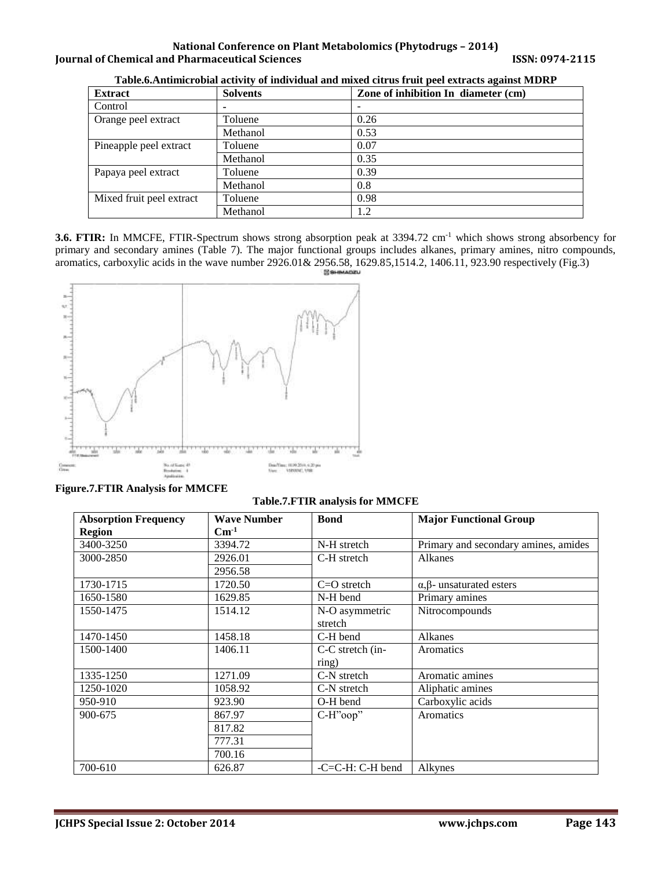# **National Conference on Plant Metabolomics (Phytodrugs – 2014) Journal of Chemical and Pharmaceutical Sciences 19974-2015 ISSN: 0974-2115**

| <b>Extract</b>           | <b>Solvents</b> | Zone of inhibition In diameter (cm) |
|--------------------------|-----------------|-------------------------------------|
| Control                  |                 |                                     |
| Orange peel extract      | Toluene         | 0.26                                |
|                          | Methanol        | 0.53                                |
| Pineapple peel extract   | Toluene         | 0.07                                |
|                          | Methanol        | 0.35                                |
| Papaya peel extract      | Toluene         | 0.39                                |
|                          | Methanol        | 0.8                                 |
| Mixed fruit peel extract | Toluene         | 0.98                                |
|                          | Methanol        | 1.2                                 |

**Table.6.Antimicrobial activity of individual and mixed citrus fruit peel extracts against MDRP**

**3.6. FTIR:** In MMCFE, FTIR-Spectrum shows strong absorption peak at 3394.72 cm-1 which shows strong absorbency for primary and secondary amines (Table 7). The major functional groups includes alkanes, primary amines, nitro compounds, aromatics, carboxylic acids in the wave number 2926.01& 2956.58, 1629.85,1514.2, 1406.11, 923.90 respectively (Fig.3)



**Figure.7.FTIR Analysis for MMCFE**

#### **Table.7.FTIR analysis for MMCFE**

| <b>Absorption Frequency</b> | <b>Wave Number</b> | <b>Bond</b>        | <b>Major Functional Group</b>           |
|-----------------------------|--------------------|--------------------|-----------------------------------------|
| <b>Region</b>               | $\mathrm{Cm}^1$    |                    |                                         |
| 3400-3250                   | 3394.72            | N-H stretch        | Primary and secondary amines, amides    |
| 3000-2850                   | 2926.01            | C-H stretch        | Alkanes                                 |
|                             | 2956.58            |                    |                                         |
| 1730-1715                   | 1720.50            | $C=O$ stretch      | $\alpha$ , $\beta$ - unsaturated esters |
| 1650-1580                   | 1629.85            | N-H bend           | Primary amines                          |
| 1550-1475                   | 1514.12            | N-O asymmetric     | Nitrocompounds                          |
|                             |                    | stretch            |                                         |
| 1470-1450                   | 1458.18            | C-H bend           | Alkanes                                 |
| 1500-1400                   | 1406.11            | $C-C$ stretch (in- | Aromatics                               |
|                             |                    | ring)              |                                         |
| 1335-1250                   | 1271.09            | C-N stretch        | Aromatic amines                         |
| 1250-1020                   | 1058.92            | C-N stretch        | Aliphatic amines                        |
| 950-910                     | 923.90             | O-H bend           | Carboxylic acids                        |
| 900-675                     | 867.97             | $C-H"oop"$         | Aromatics                               |
|                             | 817.82             |                    |                                         |
|                             | 777.31             |                    |                                         |
|                             | 700.16             |                    |                                         |
| 700-610                     | 626.87             | $-C=C-H: C-H$ bend | Alkynes                                 |